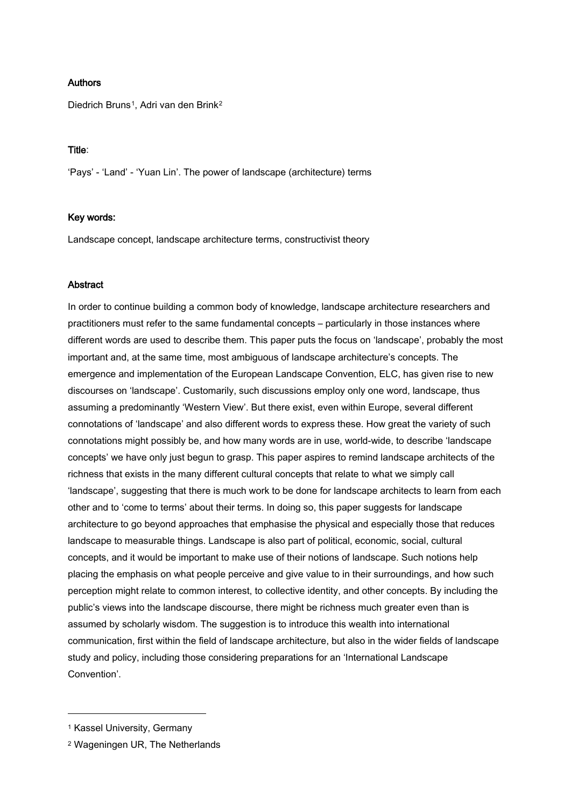# Authors

Diedrich Bruns<sup>1</sup>, Adri van den Brink<sup>[2](#page-0-1)</sup>

## Title:

'Pays' - 'Land' - 'Yuan Lin'. The power of landscape (architecture) terms

# Key words:

Landscape concept, landscape architecture terms, constructivist theory

# **Abstract**

In order to continue building a common body of knowledge, landscape architecture researchers and practitioners must refer to the same fundamental concepts – particularly in those instances where different words are used to describe them. This paper puts the focus on 'landscape', probably the most important and, at the same time, most ambiguous of landscape architecture's concepts. The emergence and implementation of the European Landscape Convention, ELC, has given rise to new discourses on 'landscape'. Customarily, such discussions employ only one word, landscape, thus assuming a predominantly 'Western View'. But there exist, even within Europe, several different connotations of 'landscape' and also different words to express these. How great the variety of such connotations might possibly be, and how many words are in use, world-wide, to describe 'landscape concepts' we have only just begun to grasp. This paper aspires to remind landscape architects of the richness that exists in the many different cultural concepts that relate to what we simply call 'landscape', suggesting that there is much work to be done for landscape architects to learn from each other and to 'come to terms' about their terms. In doing so, this paper suggests for landscape architecture to go beyond approaches that emphasise the physical and especially those that reduces landscape to measurable things. Landscape is also part of political, economic, social, cultural concepts, and it would be important to make use of their notions of landscape. Such notions help placing the emphasis on what people perceive and give value to in their surroundings, and how such perception might relate to common interest, to collective identity, and other concepts. By including the public's views into the landscape discourse, there might be richness much greater even than is assumed by scholarly wisdom. The suggestion is to introduce this wealth into international communication, first within the field of landscape architecture, but also in the wider fields of landscape study and policy, including those considering preparations for an 'International Landscape Convention'.

<u>.</u>

<span id="page-0-0"></span><sup>1</sup> Kassel University, Germany

<span id="page-0-1"></span><sup>2</sup> Wageningen UR, The Netherlands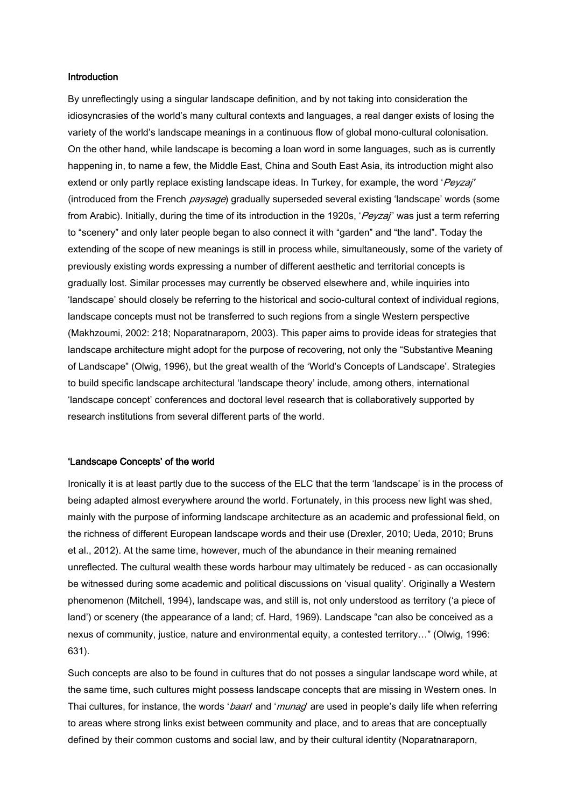## Introduction

By unreflectingly using a singular landscape definition, and by not taking into consideration the idiosyncrasies of the world's many cultural contexts and languages, a real danger exists of losing the variety of the world's landscape meanings in a continuous flow of global mono-cultural colonisation. On the other hand, while landscape is becoming a loan word in some languages, such as is currently happening in, to name a few, the Middle East, China and South East Asia, its introduction might also extend or only partly replace existing landscape ideas. In Turkey, for example, the word 'Peyzaj' (introduced from the French paysage) gradually superseded several existing 'landscape' words (some from Arabic). Initially, during the time of its introduction in the 1920s, 'Peyza'' was just a term referring to "scenery" and only later people began to also connect it with "garden" and "the land". Today the extending of the scope of new meanings is still in process while, simultaneously, some of the variety of previously existing words expressing a number of different aesthetic and territorial concepts is gradually lost. Similar processes may currently be observed elsewhere and, while inquiries into 'landscape' should closely be referring to the historical and socio-cultural context of individual regions, landscape concepts must not be transferred to such regions from a single Western perspective (Makhzoumi, 2002: 218; Noparatnaraporn, 2003). This paper aims to provide ideas for strategies that landscape architecture might adopt for the purpose of recovering, not only the "Substantive Meaning of Landscape" (Olwig, 1996), but the great wealth of the 'World's Concepts of Landscape'. Strategies to build specific landscape architectural 'landscape theory' include, among others, international 'landscape concept' conferences and doctoral level research that is collaboratively supported by research institutions from several different parts of the world.

### 'Landscape Concepts' of the world

Ironically it is at least partly due to the success of the ELC that the term 'landscape' is in the process of being adapted almost everywhere around the world. Fortunately, in this process new light was shed, mainly with the purpose of informing landscape architecture as an academic and professional field, on the richness of different European landscape words and their use (Drexler, 2010; Ueda, 2010; Bruns et al., 2012). At the same time, however, much of the abundance in their meaning remained unreflected. The cultural wealth these words harbour may ultimately be reduced - as can occasionally be witnessed during some academic and political discussions on 'visual quality'. Originally a Western phenomenon (Mitchell, 1994), landscape was, and still is, not only understood as territory ('a piece of land') or scenery (the appearance of a land; cf. Hard, 1969). Landscape "can also be conceived as a nexus of community, justice, nature and environmental equity, a contested territory…" (Olwig, 1996: 631).

Such concepts are also to be found in cultures that do not posses a singular landscape word while, at the same time, such cultures might possess landscape concepts that are missing in Western ones. In Thai cultures, for instance, the words '*baan*' and '*munag*' are used in people's daily life when referring to areas where strong links exist between community and place, and to areas that are conceptually defined by their common customs and social law, and by their cultural identity (Noparatnaraporn,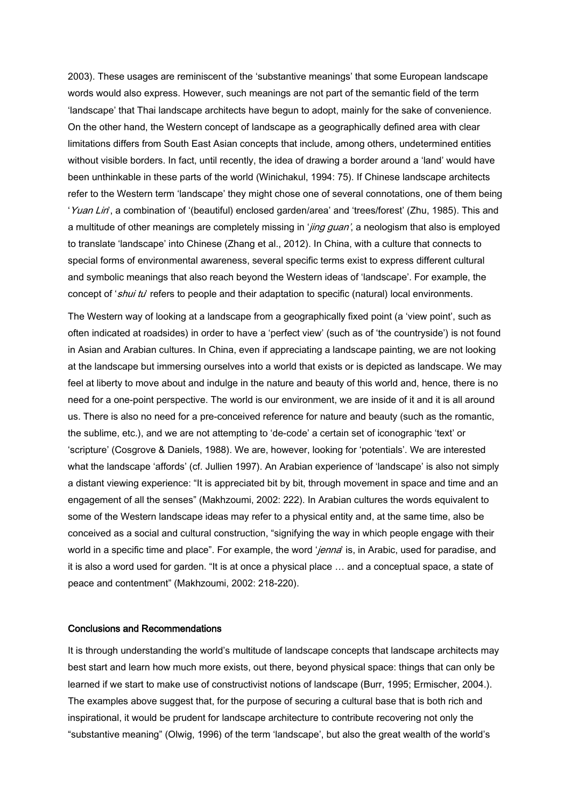2003). These usages are reminiscent of the 'substantive meanings' that some European landscape words would also express. However, such meanings are not part of the semantic field of the term 'landscape' that Thai landscape architects have begun to adopt, mainly for the sake of convenience. On the other hand, the Western concept of landscape as a geographically defined area with clear limitations differs from South East Asian concepts that include, among others, undetermined entities without visible borders. In fact, until recently, the idea of drawing a border around a 'land' would have been unthinkable in these parts of the world (Winichakul, 1994: 75). If Chinese landscape architects refer to the Western term 'landscape' they might chose one of several connotations, one of them being 'Yuan Lin', a combination of '(beautiful) enclosed garden/area' and 'trees/forest' (Zhu, 1985). This and a multitude of other meanings are completely missing in '*jing guan'*, a neologism that also is employed to translate 'landscape' into Chinese (Zhang et al., 2012). In China, with a culture that connects to special forms of environmental awareness, several specific terms exist to express different cultural and symbolic meanings that also reach beyond the Western ideas of 'landscape'. For example, the concept of 'shui tu' refers to people and their adaptation to specific (natural) local environments.

The Western way of looking at a landscape from a geographically fixed point (a 'view point', such as often indicated at roadsides) in order to have a 'perfect view' (such as of 'the countryside') is not found in Asian and Arabian cultures. In China, even if appreciating a landscape painting, we are not looking at the landscape but immersing ourselves into a world that exists or is depicted as landscape. We may feel at liberty to move about and indulge in the nature and beauty of this world and, hence, there is no need for a one-point perspective. The world is our environment, we are inside of it and it is all around us. There is also no need for a pre-conceived reference for nature and beauty (such as the romantic, the sublime, etc.), and we are not attempting to 'de-code' a certain set of iconographic 'text' or 'scripture' (Cosgrove & Daniels, 1988). We are, however, looking for 'potentials'. We are interested what the landscape 'affords' (cf. Jullien 1997). An Arabian experience of 'landscape' is also not simply a distant viewing experience: "It is appreciated bit by bit, through movement in space and time and an engagement of all the senses" (Makhzoumi, 2002: 222). In Arabian cultures the words equivalent to some of the Western landscape ideas may refer to a physical entity and, at the same time, also be conceived as a social and cultural construction, "signifying the way in which people engage with their world in a specific time and place". For example, the word 'jenna' is, in Arabic, used for paradise, and it is also a word used for garden. "It is at once a physical place … and a conceptual space, a state of peace and contentment" (Makhzoumi, 2002: 218-220).

# Conclusions and Recommendations

It is through understanding the world's multitude of landscape concepts that landscape architects may best start and learn how much more exists, out there, beyond physical space: things that can only be learned if we start to make use of constructivist notions of landscape (Burr, 1995; Ermischer, 2004.). The examples above suggest that, for the purpose of securing a cultural base that is both rich and inspirational, it would be prudent for landscape architecture to contribute recovering not only the "substantive meaning" (Olwig, 1996) of the term 'landscape', but also the great wealth of the world's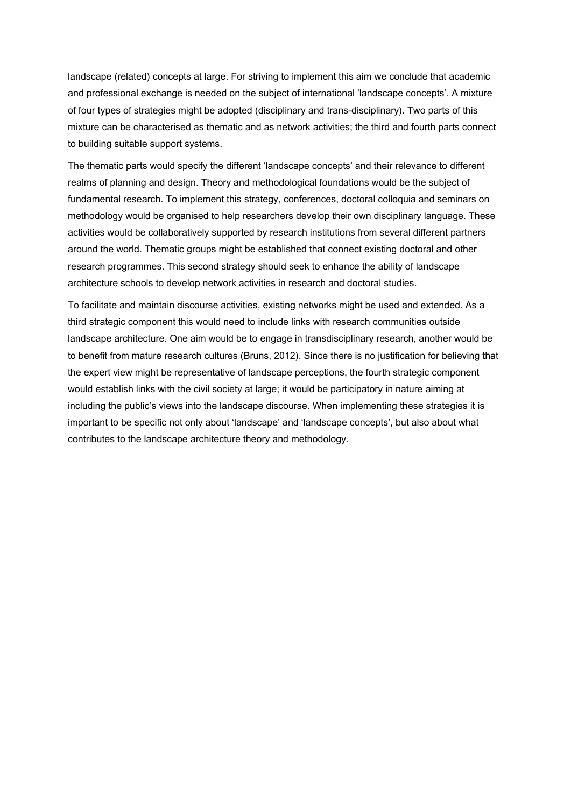landscape (related) concepts at large. For striving to implement this aim we conclude that academic and professional exchange is needed on the subject of international 'landscape concepts'. A mixture of four types of strategies might be adopted (disciplinary and trans-disciplinary). Two parts of this mixture can be characterised as thematic and as network activities; the third and fourth parts connect to building suitable support systems.

The thematic parts would specify the different 'landscape concepts' and their relevance to different realms of planning and design. Theory and methodological foundations would be the subject of fundamental research. To implement this strategy, conferences, doctoral colloquia and seminars on methodology would be organised to help researchers develop their own disciplinary language. These activities would be collaboratively supported by research institutions from several different partners around the world. Thematic groups might be established that connect existing doctoral and other research programmes. This second strategy should seek to enhance the ability of landscape architecture schools to develop network activities in research and doctoral studies.

To facilitate and maintain discourse activities, existing networks might be used and extended. As a third strategic component this would need to include links with research communities outside landscape architecture. One aim would be to engage in transdisciplinary research, another would be to benefit from mature research cultures (Bruns, 2012). Since there is no justification for believing that the expert view might be representative of landscape perceptions, the fourth strategic component would establish links with the civil society at large; it would be participatory in nature aiming at including the public's views into the landscape discourse. When implementing these strategies it is important to be specific not only about 'landscape' and 'landscape concepts', but also about what contributes to the landscape architecture theory and methodology.